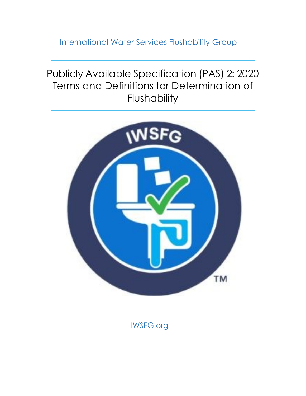<span id="page-0-0"></span>International Water Services Flushability Group

Publicly Available Specification (PAS) 2: 2020 Terms and Definitions for Determination of Flushability



IWSFG.org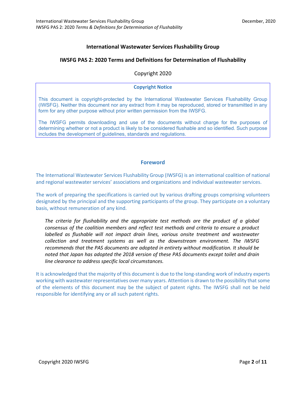### **International Wastewater Services Flushability Group**

#### **IWSFG PAS 2: 2020 Terms and Definitions for Determination of Flushability**

Copyright 2020

#### **Copyright Notice**

This document is copyright-protected by the International Wastewater Services Flushability Group (IWSFG). Neither this document nor any extract from it may be reproduced, stored or transmitted in any form for any other purpose without prior written permission from the IWSFG.

The IWSFG permits downloading and use of the documents without charge for the purposes of determining whether or not a product is likely to be considered flushable and so identified. Such purpose includes the development of guidelines, standards and regulations.

#### **Foreword**

The International Wastewater Services Flushability Group (IWSFG) is an international coalition of national and regional wastewater services' associations and organizations and individual wastewater services.

The work of preparing the specifications is carried out by various drafting groups comprising volunteers designated by the principal and the supporting participants of the group. They participate on a voluntary basis, without remuneration of any kind.

*The criteria for flushability and the appropriate test methods are the product of a global consensus of the coalition members and reflect test methods and criteria to ensure a product labelled as flushable will not impact drain lines, various onsite treatment and wastewater collection and treatment systems as well as the downstream environment. The IWSFG recommends that the PAS documents are adopted in entirety without modification. It should be noted that Japan has adopted the 2018 version of these PAS documents except toilet and drain line clearance to address specific local circumstances.*

It is acknowledged that the majority of this document is due to the long-standing work of industry experts working with wastewater representatives over many years. Attention is drawn to the possibility that some of the elements of this document may be the subject of patent rights. The IWSFG shall not be held responsible for identifying any or all such patent rights.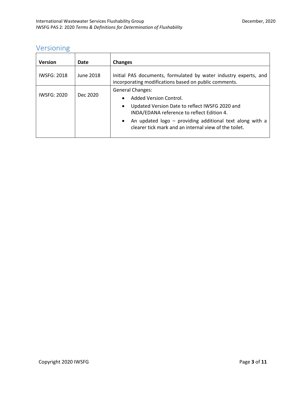# <span id="page-2-0"></span>Versioning

| <b>Version</b>     | Date      | <b>Changes</b>                                                                                                                                                                                                                                                                                                |
|--------------------|-----------|---------------------------------------------------------------------------------------------------------------------------------------------------------------------------------------------------------------------------------------------------------------------------------------------------------------|
| <b>IWSFG: 2018</b> | June 2018 | Initial PAS documents, formulated by water industry experts, and<br>incorporating modifications based on public comments.                                                                                                                                                                                     |
| <b>IWSFG: 2020</b> | Dec 2020  | <b>General Changes:</b><br>Added Version Control.<br>$\bullet$<br>Updated Version Date to reflect IWSFG 2020 and<br>$\bullet$<br>INDA/EDANA reference to reflect Edition 4.<br>An updated logo - providing additional text along with a<br>$\bullet$<br>clearer tick mark and an internal view of the toilet. |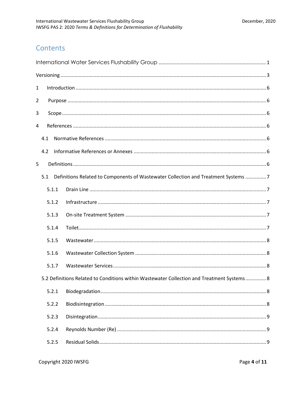## Contents

| $\mathbf{1}$                                                                               |     |       |                                                                                        |  |  |
|--------------------------------------------------------------------------------------------|-----|-------|----------------------------------------------------------------------------------------|--|--|
| 2                                                                                          |     |       |                                                                                        |  |  |
| 3                                                                                          |     |       |                                                                                        |  |  |
| 4                                                                                          |     |       |                                                                                        |  |  |
|                                                                                            | 4.1 |       |                                                                                        |  |  |
|                                                                                            | 4.2 |       |                                                                                        |  |  |
| 5                                                                                          |     |       |                                                                                        |  |  |
|                                                                                            |     |       | 5.1 Definitions Related to Components of Wastewater Collection and Treatment Systems 7 |  |  |
|                                                                                            |     | 5.1.1 |                                                                                        |  |  |
|                                                                                            |     | 5.1.2 |                                                                                        |  |  |
|                                                                                            |     | 5.1.3 |                                                                                        |  |  |
|                                                                                            |     | 5.1.4 |                                                                                        |  |  |
|                                                                                            |     | 5.1.5 |                                                                                        |  |  |
|                                                                                            |     | 5.1.6 |                                                                                        |  |  |
|                                                                                            |     | 5.1.7 |                                                                                        |  |  |
| 5.2 Definitions Related to Conditions within Wastewater Collection and Treatment Systems 8 |     |       |                                                                                        |  |  |
|                                                                                            |     | 5.2.1 |                                                                                        |  |  |
|                                                                                            |     | 5.2.2 |                                                                                        |  |  |
|                                                                                            |     | 5.2.3 |                                                                                        |  |  |
|                                                                                            |     | 5.2.4 |                                                                                        |  |  |
|                                                                                            |     | 5.2.5 |                                                                                        |  |  |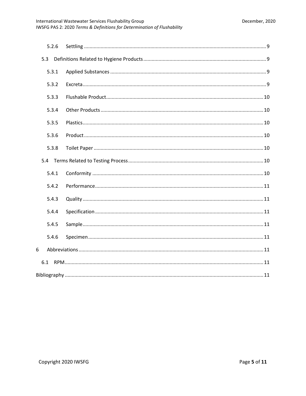| 5.2.6 |  |  |  |
|-------|--|--|--|
| 5.3   |  |  |  |
| 5.3.1 |  |  |  |
| 5.3.2 |  |  |  |
| 5.3.3 |  |  |  |
| 5.3.4 |  |  |  |
| 5.3.5 |  |  |  |
| 5.3.6 |  |  |  |
| 5.3.8 |  |  |  |
|       |  |  |  |
| 5.4.1 |  |  |  |
| 5.4.2 |  |  |  |
| 5.4.3 |  |  |  |
| 5.4.4 |  |  |  |
| 5.4.5 |  |  |  |
| 5.4.6 |  |  |  |
| 6     |  |  |  |
| 6.1   |  |  |  |
|       |  |  |  |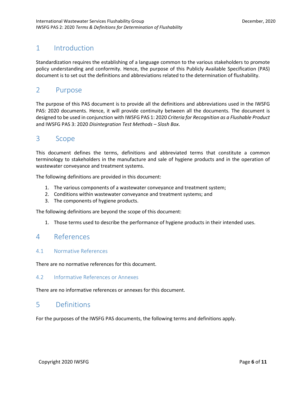## <span id="page-5-0"></span>1 Introduction

Standardization requires the establishing of a language common to the various stakeholders to promote policy understanding and conformity. Hence, the purpose of this Publicly Available Specification (PAS) document is to set out the definitions and abbreviations related to the determination of flushability.

## <span id="page-5-1"></span>2 Purpose

The purpose of this PAS document is to provide all the definitions and abbreviations used in the IWSFG PAS: 2020 documents. Hence, it will provide continuity between all the documents. The document is designed to be used in conjunction with IWSFG PAS 1: 2020 *Criteria for Recognition as a Flushable Product* and IWSFG PAS 3: 2020 *Disintegration Test Methods – Slosh Box*.

## <span id="page-5-2"></span>3 Scope

This document defines the terms, definitions and abbreviated terms that constitute a common terminology to stakeholders in the manufacture and sale of hygiene products and in the operation of wastewater conveyance and treatment systems.

The following definitions are provided in this document:

- 1. The various components of a wastewater conveyance and treatment system;
- 2. Conditions within wastewater conveyance and treatment systems; and
- 3. The components of hygiene products.

The following definitions are beyond the scope of this document:

1. Those terms used to describe the performance of hygiene products in their intended uses.

## <span id="page-5-3"></span>4 References

### <span id="page-5-4"></span>4.1 Normative References

There are no normative references for this document.

#### <span id="page-5-5"></span>4.2 Informative References or Annexes

There are no informative references or annexes for this document.

## <span id="page-5-6"></span>5 Definitions

For the purposes of the IWSFG PAS documents, the following terms and definitions apply.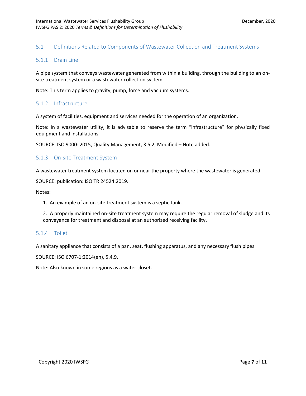### <span id="page-6-0"></span>5.1 Definitions Related to Components of Wastewater Collection and Treatment Systems

#### <span id="page-6-1"></span>5.1.1 Drain Line

A pipe system that conveys wastewater generated from within a building, through the building to an onsite treatment system or a wastewater collection system.

Note: This term applies to gravity, pump, force and vacuum systems.

#### <span id="page-6-2"></span>5.1.2 Infrastructure

A system of facilities, equipment and services needed for the operation of an organization.

Note: In a wastewater utility, it is advisable to reserve the term "infrastructure" for physically fixed equipment and installations.

SOURCE: ISO 9000: 2015, Quality Management, 3.5.2, Modified – Note added.

#### <span id="page-6-3"></span>5.1.3 On-site Treatment System

A wastewater treatment system located on or near the property where the wastewater is generated.

SOURCE: publication: ISO TR 24524:2019.

Notes:

1. An example of an on-site treatment system is a septic tank.

2. A properly maintained on-site treatment system may require the regular removal of sludge and its conveyance for treatment and disposal at an authorized receiving facility.

#### <span id="page-6-4"></span>5.1.4 Toilet

A sanitary appliance that consists of a pan, seat, flushing apparatus, and any necessary flush pipes.

SOURCE: ISO 6707-1:2014(en), 5.4.9.

Note: Also known in some regions as a water closet.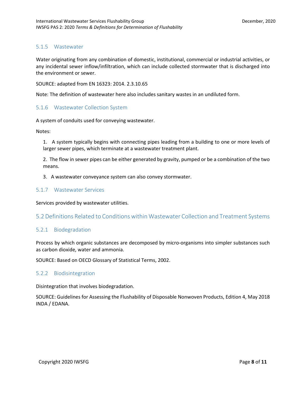### <span id="page-7-0"></span>5.1.5 Wastewater

Water originating from any combination of domestic, institutional, commercial or industrial activities, or any incidental sewer inflow/infiltration, which can include collected stormwater that is discharged into the environment or sewer.

SOURCE: adapted from EN 16323: 2014. 2.3.10.65

Note: The definition of wastewater here also includes sanitary wastes in an undiluted form.

#### <span id="page-7-1"></span>5.1.6 Wastewater Collection System

A system of conduits used for conveying wastewater.

Notes:

1. A system typically begins with connecting pipes leading from a building to one or more levels of larger sewer pipes, which terminate at a wastewater treatment plant.

2. The flow in sewer pipes can be either generated by gravity, pumped or be a combination of the two means.

3. A wastewater conveyance system can also convey stormwater.

#### <span id="page-7-2"></span>5.1.7 Wastewater Services

Services provided by wastewater utilities.

### <span id="page-7-3"></span>5.2 Definitions Related to Conditions within Wastewater Collection and Treatment Systems

#### <span id="page-7-4"></span>5.2.1 Biodegradation

Process by which organic substances are decomposed by micro-organisms into simpler substances such as carbon dioxide, water and ammonia.

SOURCE: Based on OECD Glossary of Statistical Terms, 2002.

#### <span id="page-7-5"></span>5.2.2 Biodisintegration

Disintegration that involves biodegradation.

SOURCE: Guidelines for Assessing the Flushability of Disposable Nonwoven Products, Edition 4, May 2018 INDA / EDANA.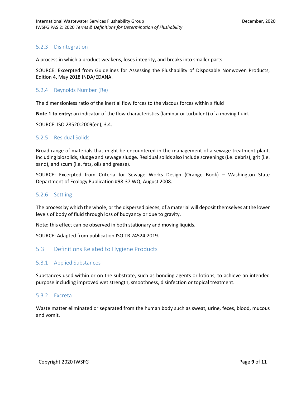### <span id="page-8-0"></span>5.2.3 Disintegration

A process in which a product weakens, loses integrity, and breaks into smaller parts.

SOURCE: Excerpted from Guidelines for Assessing the Flushability of Disposable Nonwoven Products, Edition 4, May 2018 INDA/EDANA.

#### <span id="page-8-1"></span>5.2.4 Reynolds Number (Re)

The dimensionless ratio of the inertial flow forces to the viscous forces within a fluid

**Note 1 to entry:** an indicator of the flow characteristics (laminar or turbulent) of a moving fluid.

SOURCE: ISO 28520:2009(en), 3.4.

#### <span id="page-8-2"></span>5.2.5 Residual Solids

Broad range of materials that might be encountered in the management of a sewage treatment plant, including biosolids, sludge and sewage sludge. Residual solids also include screenings (i.e. debris), grit (i.e. sand), and scum (i.e. fats, oils and grease).

SOURCE: Excerpted from Criteria for Sewage Works Design (Orange Book) – Washington State Department of Ecology Publication #98-37 WQ, August 2008.

#### <span id="page-8-3"></span>5.2.6 Settling

The process by which the whole, or the dispersed pieces, of a material will deposit themselves at the lower levels of body of fluid through loss of buoyancy or due to gravity.

Note: this effect can be observed in both stationary and moving liquids.

SOURCE: Adapted from publication ISO TR 24524:2019.

### <span id="page-8-4"></span>5.3 Definitions Related to Hygiene Products

#### <span id="page-8-5"></span>5.3.1 Applied Substances

Substances used within or on the substrate, such as bonding agents or lotions, to achieve an intended purpose including improved wet strength, smoothness, disinfection or topical treatment.

#### <span id="page-8-6"></span>5.3.2 Excreta

Waste matter eliminated or separated from the human body such as sweat, urine, feces, blood, mucous and vomit.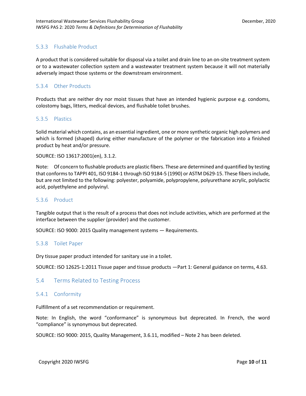## <span id="page-9-0"></span>5.3.3 Flushable Product

A product that is considered suitable for disposal via a toilet and drain line to an on-site treatment system or to a wastewater collection system and a wastewater treatment system because it will not materially adversely impact those systems or the downstream environment.

### <span id="page-9-1"></span>5.3.4 Other Products

Products that are neither dry nor moist tissues that have an intended hygienic purpose e.g. condoms, colostomy bags, litters, medical devices, and flushable toilet brushes.

#### <span id="page-9-2"></span>5.3.5 Plastics

Solid material which contains, as an essential ingredient, one or more synthetic organic high polymers and which is formed (shaped) during either manufacture of the polymer or the fabrication into a finished product by heat and/or pressure.

SOURCE: ISO 13617:2001(en), 3.1.2.

Note: Of concern to flushable products are plastic fibers. These are determined and quantified by testing that conforms to TAPPI 401, ISO 9184-1 through ISO 9184-5 (1990) or ASTM D629-15. These fibers include, but are not limited to the following: polyester, polyamide, polypropylene, polyurethane acrylic, polylactic acid, polyethylene and polyvinyl.

#### <span id="page-9-3"></span>5.3.6 Product

Tangible output that is the result of a process that does not include activities, which are performed at the interface between the supplier (provider) and the customer.

SOURCE: ISO 9000: 2015 Quality management systems — Requirements.

#### <span id="page-9-4"></span>5.3.8 Toilet Paper

Dry tissue paper product intended for sanitary use in a toilet.

SOURCE: ISO 12625-1:2011 Tissue paper and tissue products —Part 1: General guidance on terms, 4.63.

#### <span id="page-9-5"></span>5.4 Terms Related to Testing Process

#### <span id="page-9-6"></span>5.4.1 Conformity

Fulfillment of a set recommendation or requirement.

Note: In English, the word "conformance" is synonymous but deprecated. In French, the word "compliance" is synonymous but deprecated.

SOURCE: ISO 9000: 2015, Quality Management, 3.6.11, modified – Note 2 has been deleted.